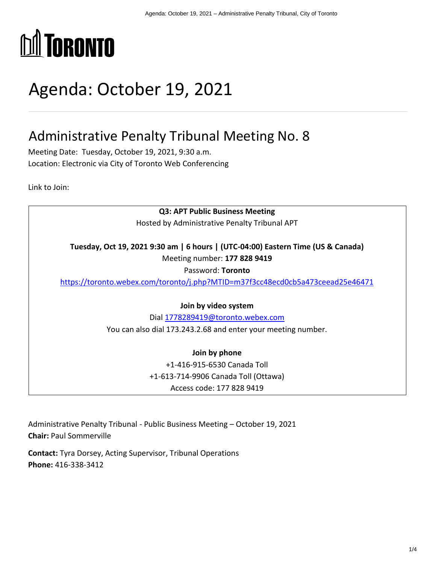

# Agenda: October 19, 2021

# Administrative Penalty Tribunal Meeting No. 8

Meeting Date: Tuesday, October 19, 2021, 9:30 a.m. Location: Electronic via City of Toronto Web Conferencing

Link to Join:

**Q3: APT Public Business Meeting**  Hosted by Administrative Penalty Tribunal APT **Tuesday, Oct 19, 2021 9:30 am | 6 hours | (UTC-04:00) Eastern Time (US & Canada)**  Meeting number: **177 828 9419**  Password: **Toronto** <https://toronto.webex.com/toronto/j.php?MTID=m37f3cc48ecd0cb5a473ceead25e46471> **Join by video system**  Dial [1778289419@toronto.webex.com](mailto:1778289419@toronto.webex.com) You can also dial 173.243.2.68 and enter your meeting number. **Join by phone**  +1-416-915-6530 Canada Toll +1-613-714-9906 Canada Toll (Ottawa) Access code: 177 828 9419

Administrative Penalty Tribunal - Public Business Meeting – October 19, 2021 **Chair:** Paul Sommerville

**Contact:** Tyra Dorsey, Acting Supervisor, Tribunal Operations **Phone:** 416-338-3412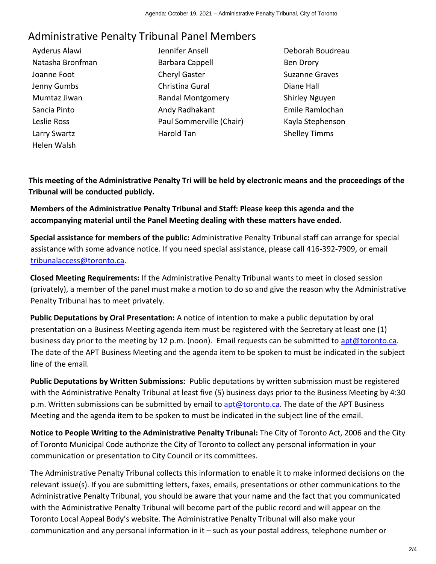# Administrative Penalty Tribunal Panel Members

Ayderus Alawi Natasha Bronfman Joanne Foot Jenny Gumbs Mumtaz Jiwan Sancia Pinto Leslie Ross Larry Swartz Helen Walsh

- Jennifer Ansell Barbara Cappell Cheryl Gaster Christina Gural Randal Montgomery Andy Radhakant Paul Sommerville (Chair) Harold Tan
- Deborah Boudreau Ben Drory Suzanne Graves Diane Hall Shirley Nguyen Emile Ramlochan Kayla Stephenson Shelley Timms

**This meeting of the Administrative Penalty Tri will be held by electronic means and the proceedings of the Tribunal will be conducted publicly.** 

**Members of the Administrative Penalty Tribunal and Staff: Please keep this agenda and the accompanying material until the Panel Meeting dealing with these matters have ended.** 

**Special assistance for members of the public:** Administrative Penalty Tribunal staff can arrange for special assistance with some advance notice. If you need special assistance, please call 416-392-7909, or email [tribunalaccess@toronto.ca.](mailto:tribunalaccess@toronto.ca)

**Closed Meeting Requirements:** If the Administrative Penalty Tribunal wants to meet in closed session (privately), a member of the panel must make a motion to do so and give the reason why the Administrative Penalty Tribunal has to meet privately.

**Public Deputations by Oral Presentation:** A notice of intention to make a public deputation by oral presentation on a Business Meeting agenda item must be registered with the Secretary at least one (1) business day prior to the meeting by 12 p.m. (noon). Email requests can be submitted to [apt@toronto.ca.](mailto:apt@toronto.ca) The date of the APT Business Meeting and the agenda item to be spoken to must be indicated in the subject line of the email.

**Public Deputations by Written Submissions:** Public deputations by written submission must be registered with the Administrative Penalty Tribunal at least five (5) business days prior to the Business Meeting by 4:30 p.m. Written submissions can be submitted by email to [apt@toronto.ca.](mailto:apt@toronto.ca) The date of the APT Business Meeting and the agenda item to be spoken to must be indicated in the subject line of the email.

**Notice to People Writing to the Administrative Penalty Tribunal:** The City of Toronto Act, 2006 and the City of Toronto Municipal Code authorize the City of Toronto to collect any personal information in your communication or presentation to City Council or its committees.

The Administrative Penalty Tribunal collects this information to enable it to make informed decisions on the relevant issue(s). If you are submitting letters, faxes, emails, presentations or other communications to the Administrative Penalty Tribunal, you should be aware that your name and the fact that you communicated with the Administrative Penalty Tribunal will become part of the public record and will appear on the Toronto Local Appeal Body's website. The Administrative Penalty Tribunal will also make your communication and any personal information in it – such as your postal address, telephone number or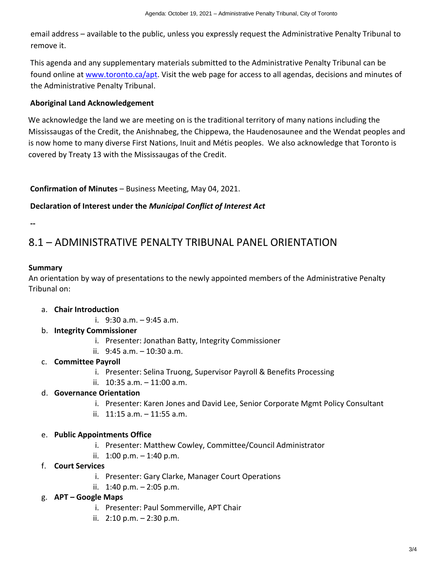email address – available to the public, unless you expressly request the Administrative Penalty Tribunal to remove it.

This agenda and any supplementary materials submitted to the Administrative Penalty Tribunal can be found online at www.toronto.ca/apt. Visit the web page for access to all agendas, decisions and minutes of the Administrative Penalty Tribunal.

#### **Aboriginal Land Acknowledgement**

We acknowledge the land we are meeting on is the traditional territory of many nations including the Mississaugas of the Credit, the Anishnabeg, the Chippewa, the Haudenosaunee and the Wendat peoples and is now home to many diverse First Nations, Inuit and Métis peoples. We also acknowledge that Toronto is covered by Treaty 13 with the Mississaugas of the Credit.

#### **Confirmation of Minutes** – Business Meeting, May 04, 2021.

#### **Declaration of Interest under the** *Municipal Conflict of Interest Act*

**--**

# 8.1 – ADMINISTRATIVE PENALTY TRIBUNAL PANEL ORIENTATION

#### **Summary**

An orientation by way of presentations to the newly appointed members of the Administrative Penalty Tribunal on:

- a. **Chair Introduction**
	- i.  $9:30$  a.m.  $-9:45$  a.m.
- b. **Integrity Commissioner**
	- i. Presenter: Jonathan Batty, Integrity Commissioner
	- ii. 9:45 a.m. 10:30 a.m.
- c. **Committee Payroll** 
	- i. Presenter: Selina Truong, Supervisor Payroll & Benefits Processing
	- ii. 10:35 a.m. 11:00 a.m.

#### d. **Governance Orientation**

- i. Presenter: Karen Jones and David Lee, Senior Corporate Mgmt Policy Consultant
- ii.  $11:15$  a.m.  $-11:55$  a.m.

#### e. **Public Appointments Office**

- i. Presenter: Matthew Cowley, Committee/Council Administrator
- ii.  $1:00 \text{ p.m.} 1:40 \text{ p.m.}$
- f. **Court Services**
	- i. Presenter: Gary Clarke, Manager Court Operations
	- ii.  $1:40 \text{ p.m.} 2:05 \text{ p.m.}$

#### g. **APT – Google Maps**

- i. Presenter: Paul Sommerville, APT Chair
- ii.  $2:10 \text{ p.m.} 2:30 \text{ p.m.}$